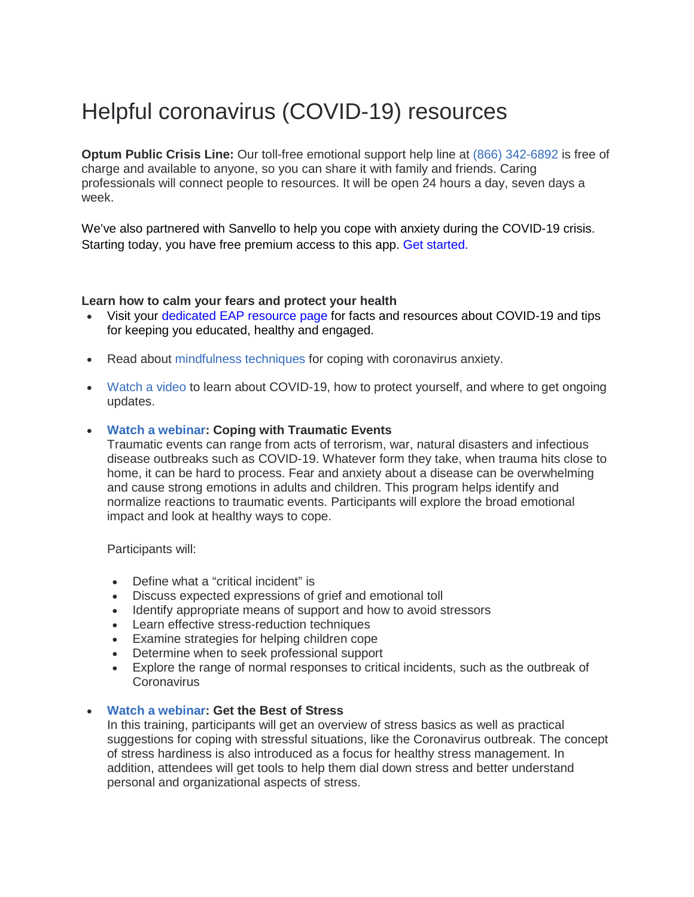## Helpful coronavirus (COVID-19) resources

**Optum Public Crisis Line:** Our toll-free emotional support help line at (866) [342-6892](tel:8663426892) is free of charge and available to anyone, so you can share it with family and friends. Caring professionals will connect people to resources. It will be open 24 hours a day, seven days a week.

We've also partnered with Sanvello to help you cope with anxiety during the COVID-19 crisis. Starting today, you have free premium access to this app. [Get started.](https://www.sanvello.com/coronavirus-anxiety-support/)

## **Learn how to calm your fears and protect your health**

- Visit your [dedicated EAP resource page](https://optumeap.com/?lang=en_us) for facts and resources about COVID-19 and tips for keeping you educated, healthy and engaged.
- Read about [mindfulness](https://www.liveandworkwell.com/content/dam/laww/documents/spotlights/Coronavirus_Anxiety.PDF) techniques for coping with coronavirus anxiety.
- [Watch](https://cdnapisec.kaltura.com/html5/html5lib/v2.70.1/mwEmbedFrame.php/p/2297431/uiconf_id/40040682/entry_id/0_os5z7v38?wid=_2297431&iframeembed=true&playerId=kaltura_player&entry_id=0_os5z7v38&flashvars%5bstreamerType%5d=auto&flashvars%5blocalizationCode%5d=en&flashvars%5bleadWithHTML5%5d=true&flashvars%5bsideBarContainer.plugin%5d=true&flashvars%5bsideBarContainer.position%5d=left&flashvars%5bsideBarContainer.clickToClose%5d=true&flashvars%5bchapters.plugin%5d=true&flashvars%5bchapters.layout%5d=vertical&flashvars%5bch) a video to learn about COVID-19, how to protect yourself, and where to get ongoing updates.

## • **Watch a [webinar:](https://bli.webex.com/bli/lsr.php?RCID=07c1389e47173fe4e370b024cb6b973e) Coping with Traumatic Events**

Traumatic events can range from acts of terrorism, war, natural disasters and infectious disease outbreaks such as COVID-19. Whatever form they take, when trauma hits close to home, it can be hard to process. Fear and anxiety about a disease can be overwhelming and cause strong emotions in adults and children. This program helps identify and normalize reactions to traumatic events. Participants will explore the broad emotional impact and look at healthy ways to cope.

Participants will:

- Define what a "critical incident" is
- Discuss expected expressions of grief and emotional toll
- Identify appropriate means of support and how to avoid stressors
- Learn effective stress-reduction techniques
- Examine strategies for helping children cope
- Determine when to seek professional support
- Explore the range of normal responses to critical incidents, such as the outbreak of **Coronavirus**

## • **Watch a [webinar:](https://balancinglifesissues.webex.com/balancinglifesissues/lsr.php?RCID=7655016ead7446c1632116b9aacb6cd8) Get the Best of Stress**

In this training, participants will get an overview of stress basics as well as practical suggestions for coping with stressful situations, like the Coronavirus outbreak. The concept of stress hardiness is also introduced as a focus for healthy stress management. In addition, attendees will get tools to help them dial down stress and better understand personal and organizational aspects of stress.